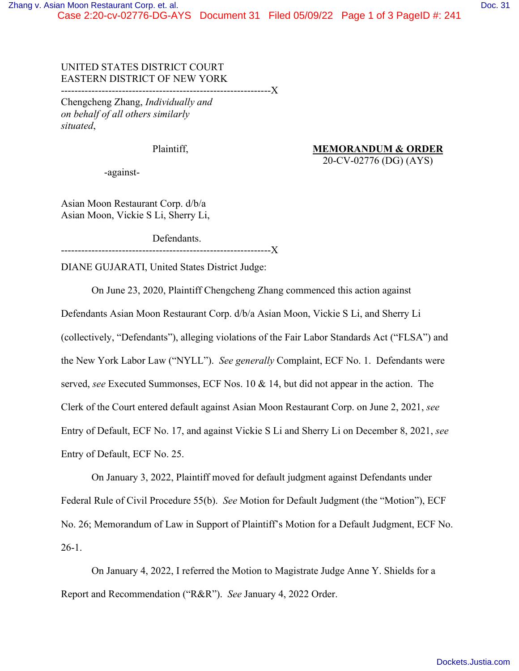## UNITED STATES DISTRICT COURT EASTERN DISTRICT OF NEW YORK

--------------------------------------------------------------X

Chengcheng Zhang, *Individually and on behalf of all others similarly situated*,

Plaintiff, MEMORANDUM & ORDER

-against-

20-CV-02776 (DG) (AYS)

Asian Moon Restaurant Corp. d/b/a Asian Moon, Vickie S Li, Sherry Li,

Defendants. --------------------------------------------------------------X

DIANE GUJARATI, United States District Judge:

On June 23, 2020, Plaintiff Chengcheng Zhang commenced this action against Defendants Asian Moon Restaurant Corp. d/b/a Asian Moon, Vickie S Li, and Sherry Li (collectively, "Defendants"), alleging violations of the Fair Labor Standards Act ("FLSA") and the New York Labor Law ("NYLL"). *See generally* Complaint, ECF No. 1. Defendants were served, *see* Executed Summonses, ECF Nos. 10 & 14, but did not appear in the action. The Clerk of the Court entered default against Asian Moon Restaurant Corp. on June 2, 2021, *see*  Entry of Default, ECF No. 17, and against Vickie S Li and Sherry Li on December 8, 2021, *see*  Entry of Default, ECF No. 25.

On January 3, 2022, Plaintiff moved for default judgment against Defendants under Federal Rule of Civil Procedure 55(b). *See* Motion for Default Judgment (the "Motion"), ECF No. 26; Memorandum of Law in Support of Plaintiff's Motion for a Default Judgment, ECF No. 26-1.

On January 4, 2022, I referred the Motion to Magistrate Judge Anne Y. Shields for a Report and Recommendation ("R&R"). *See* January 4, 2022 Order.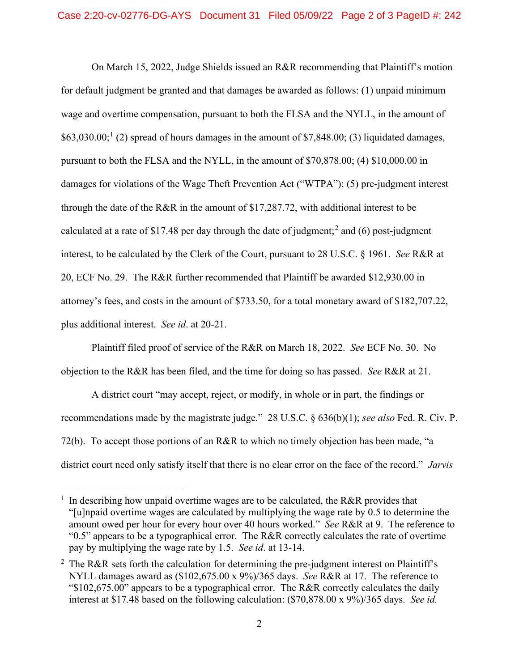On March 15, 2022, Judge Shields issued an R&R recommending that Plaintiff's motion for default judgment be granted and that damages be awarded as follows: (1) unpaid minimum wage and overtime compensation, pursuant to both the FLSA and the NYLL, in the amount of  $$63,030.00;$ <sup>[1](#page-1-0)</sup> (2) spread of hours damages in the amount of \$7,848.00; (3) liquidated damages, pursuant to both the FLSA and the NYLL, in the amount of \$70,878.00; (4) \$10,000.00 in damages for violations of the Wage Theft Prevention Act ("WTPA"); (5) pre-judgment interest through the date of the R&R in the amount of \$17,287.72, with additional interest to be calculated at a rate of \$17.48 per day through the date of judgment;<sup>[2](#page-1-1)</sup> and (6) post-judgment interest, to be calculated by the Clerk of the Court, pursuant to 28 U.S.C. § 1961. *See* R&R at 20, ECF No. 29. The R&R further recommended that Plaintiff be awarded \$12,930.00 in attorney's fees, and costs in the amount of \$733.50, for a total monetary award of \$182,707.22, plus additional interest. *See id*. at 20-21.

Plaintiff filed proof of service of the R&R on March 18, 2022. *See* ECF No. 30. No objection to the R&R has been filed, and the time for doing so has passed. *See* R&R at 21.

A district court "may accept, reject, or modify, in whole or in part, the findings or recommendations made by the magistrate judge." 28 U.S.C. § 636(b)(1); *see also* Fed. R. Civ. P. 72(b). To accept those portions of an R&R to which no timely objection has been made, "a district court need only satisfy itself that there is no clear error on the face of the record." *Jarvis* 

<span id="page-1-0"></span><sup>1</sup> In describing how unpaid overtime wages are to be calculated, the R&R provides that "[u]npaid overtime wages are calculated by multiplying the wage rate by 0.5 to determine the amount owed per hour for every hour over 40 hours worked." *See* R&R at 9. The reference to "0.5" appears to be a typographical error. The R&R correctly calculates the rate of overtime pay by multiplying the wage rate by 1.5. *See id*. at 13-14.

<span id="page-1-1"></span><sup>&</sup>lt;sup>2</sup> The R&R sets forth the calculation for determining the pre-judgment interest on Plaintiff's NYLL damages award as (\$102,675.00 x 9%)/365 days. *See* R&R at 17. The reference to "\$102,675.00" appears to be a typographical error. The R&R correctly calculates the daily interest at \$17.48 based on the following calculation: (\$70,878.00 x 9%)/365 days. *See id.*